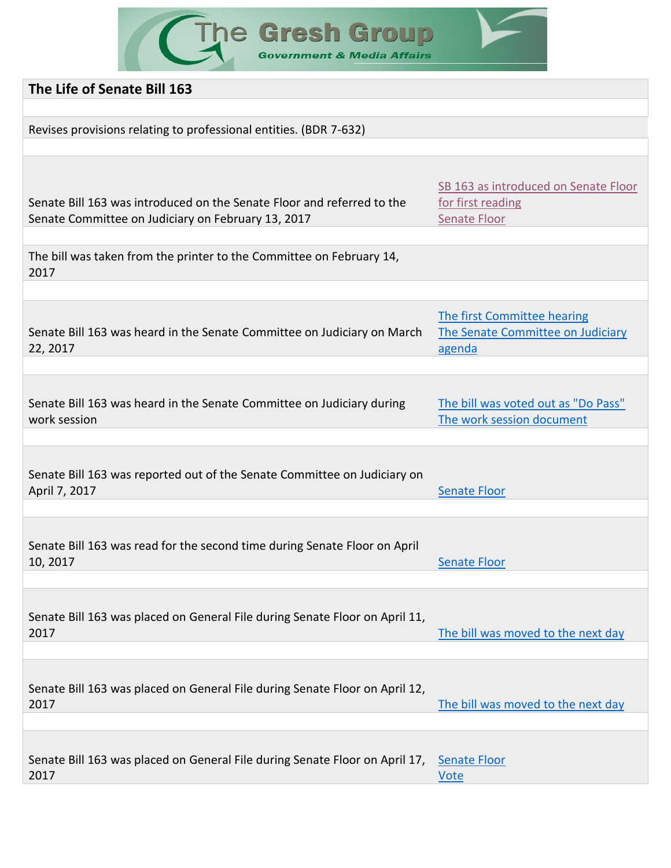The Gresh Group

| The Life of Senate Bill 163                                                 |                                      |
|-----------------------------------------------------------------------------|--------------------------------------|
|                                                                             |                                      |
| Revises provisions relating to professional entities. (BDR 7-632)           |                                      |
|                                                                             |                                      |
|                                                                             |                                      |
|                                                                             |                                      |
| Senate Bill 163 was introduced on the Senate Floor and referred to the      | SB 163 as introduced on Senate Floor |
| Senate Committee on Judiciary on February 13, 2017                          | for first reading<br>Senate Floor    |
|                                                                             |                                      |
|                                                                             |                                      |
| The bill was taken from the printer to the Committee on February 14,        |                                      |
| 2017                                                                        |                                      |
|                                                                             |                                      |
|                                                                             | The first Committee hearing          |
| Senate Bill 163 was heard in the Senate Committee on Judiciary on March     | The Senate Committee on Judiciary    |
| 22, 2017                                                                    | agenda                               |
|                                                                             |                                      |
|                                                                             |                                      |
| Senate Bill 163 was heard in the Senate Committee on Judiciary during       | The bill was voted out as "Do Pass"  |
| work session                                                                | The work session document            |
|                                                                             |                                      |
|                                                                             |                                      |
| Senate Bill 163 was reported out of the Senate Committee on Judiciary on    |                                      |
| April 7, 2017                                                               | <b>Senate Floor</b>                  |
|                                                                             |                                      |
|                                                                             |                                      |
| Senate Bill 163 was read for the second time during Senate Floor on April   |                                      |
| 10, 2017                                                                    | <b>Senate Floor</b>                  |
|                                                                             |                                      |
|                                                                             |                                      |
| Senate Bill 163 was placed on General File during Senate Floor on April 11, |                                      |
| 2017                                                                        | The bill was moved to the next day   |
|                                                                             |                                      |
|                                                                             |                                      |
| Senate Bill 163 was placed on General File during Senate Floor on April 12, |                                      |
| 2017                                                                        | The bill was moved to the next day   |
|                                                                             |                                      |
|                                                                             |                                      |
| Senate Bill 163 was placed on General File during Senate Floor on April 17, | <b>Senate Floor</b>                  |
| 2017                                                                        | <b>Vote</b>                          |
|                                                                             |                                      |